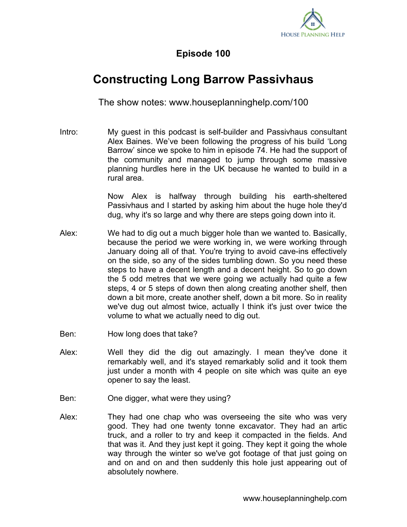

## **Episode 100**

## **Constructing Long Barrow Passivhaus**

The show notes: www.houseplanninghelp.com/100

Intro: My guest in this podcast is self-builder and Passivhaus consultant Alex Baines. We've been following the progress of his build 'Long Barrow' since we spoke to him in episode 74. He had the support of the community and managed to jump through some massive planning hurdles here in the UK because he wanted to build in a rural area.

> Now Alex is halfway through building his earth-sheltered Passivhaus and I started by asking him about the huge hole they'd dug, why it's so large and why there are steps going down into it.

- Alex: We had to dig out a much bigger hole than we wanted to. Basically, because the period we were working in, we were working through January doing all of that. You're trying to avoid cave-ins effectively on the side, so any of the sides tumbling down. So you need these steps to have a decent length and a decent height. So to go down the 5 odd metres that we were going we actually had quite a few steps, 4 or 5 steps of down then along creating another shelf, then down a bit more, create another shelf, down a bit more. So in reality we've dug out almost twice, actually I think it's just over twice the volume to what we actually need to dig out.
- Ben: How long does that take?
- Alex: Well they did the dig out amazingly. I mean they've done it remarkably well, and it's stayed remarkably solid and it took them just under a month with 4 people on site which was quite an eye opener to say the least.
- Ben: One digger, what were they using?
- Alex: They had one chap who was overseeing the site who was very good. They had one twenty tonne excavator. They had an artic truck, and a roller to try and keep it compacted in the fields. And that was it. And they just kept it going. They kept it going the whole way through the winter so we've got footage of that just going on and on and on and then suddenly this hole just appearing out of absolutely nowhere.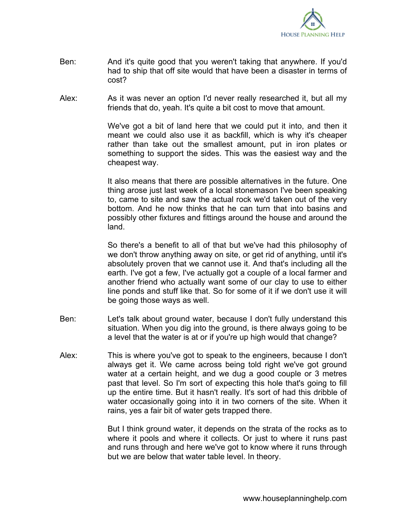

- Ben: And it's quite good that you weren't taking that anywhere. If you'd had to ship that off site would that have been a disaster in terms of cost?
- Alex: As it was never an option I'd never really researched it, but all my friends that do, yeah. It's quite a bit cost to move that amount.

We've got a bit of land here that we could put it into, and then it meant we could also use it as backfill, which is why it's cheaper rather than take out the smallest amount, put in iron plates or something to support the sides. This was the easiest way and the cheapest way.

It also means that there are possible alternatives in the future. One thing arose just last week of a local stonemason I've been speaking to, came to site and saw the actual rock we'd taken out of the very bottom. And he now thinks that he can turn that into basins and possibly other fixtures and fittings around the house and around the land.

So there's a benefit to all of that but we've had this philosophy of we don't throw anything away on site, or get rid of anything, until it's absolutely proven that we cannot use it. And that's including all the earth. I've got a few, I've actually got a couple of a local farmer and another friend who actually want some of our clay to use to either line ponds and stuff like that. So for some of it if we don't use it will be going those ways as well.

- Ben: Let's talk about ground water, because I don't fully understand this situation. When you dig into the ground, is there always going to be a level that the water is at or if you're up high would that change?
- Alex: This is where you've got to speak to the engineers, because I don't always get it. We came across being told right we've got ground water at a certain height, and we dug a good couple or 3 metres past that level. So I'm sort of expecting this hole that's going to fill up the entire time. But it hasn't really. It's sort of had this dribble of water occasionally going into it in two corners of the site. When it rains, yes a fair bit of water gets trapped there.

But I think ground water, it depends on the strata of the rocks as to where it pools and where it collects. Or just to where it runs past and runs through and here we've got to know where it runs through but we are below that water table level. In theory.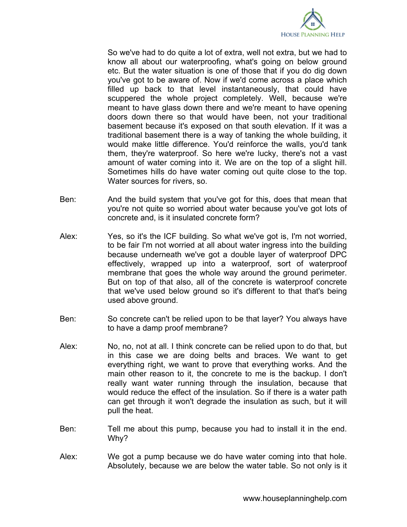

So we've had to do quite a lot of extra, well not extra, but we had to know all about our waterproofing, what's going on below ground etc. But the water situation is one of those that if you do dig down you've got to be aware of. Now if we'd come across a place which filled up back to that level instantaneously, that could have scuppered the whole project completely. Well, because we're meant to have glass down there and we're meant to have opening doors down there so that would have been, not your traditional basement because it's exposed on that south elevation. If it was a traditional basement there is a way of tanking the whole building, it would make little difference. You'd reinforce the walls, you'd tank them, they're waterproof. So here we're lucky, there's not a vast amount of water coming into it. We are on the top of a slight hill. Sometimes hills do have water coming out quite close to the top. Water sources for rivers, so.

- Ben: And the build system that you've got for this, does that mean that you're not quite so worried about water because you've got lots of concrete and, is it insulated concrete form?
- Alex: Yes, so it's the ICF building. So what we've got is, I'm not worried, to be fair I'm not worried at all about water ingress into the building because underneath we've got a double layer of waterproof DPC effectively, wrapped up into a waterproof, sort of waterproof membrane that goes the whole way around the ground perimeter. But on top of that also, all of the concrete is waterproof concrete that we've used below ground so it's different to that that's being used above ground.
- Ben: So concrete can't be relied upon to be that layer? You always have to have a damp proof membrane?
- Alex: No, no, not at all. I think concrete can be relied upon to do that, but in this case we are doing belts and braces. We want to get everything right, we want to prove that everything works. And the main other reason to it, the concrete to me is the backup. I don't really want water running through the insulation, because that would reduce the effect of the insulation. So if there is a water path can get through it won't degrade the insulation as such, but it will pull the heat.
- Ben: Tell me about this pump, because you had to install it in the end. Why?
- Alex: We got a pump because we do have water coming into that hole. Absolutely, because we are below the water table. So not only is it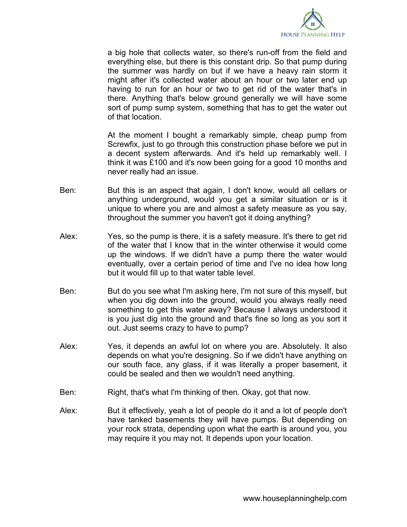

a big hole that collects water, so there's run-off from the field and everything else, but there is this constant drip. So that pump during the summer was hardly on but if we have a heavy rain storm it might after it's collected water about an hour or two later end up having to run for an hour or two to get rid of the water that's in there. Anything that's below ground generally we will have some sort of pump sump system, something that has to get the water out of that location.

At the moment I bought a remarkably simple, cheap pump from Screwfix, just to go through this construction phase before we put in a decent system afterwards. And it's held up remarkably well. I think it was £100 and it's now been going for a good 10 months and never really had an issue.

- Ben: But this is an aspect that again, I don't know, would all cellars or anything underground, would you get a similar situation or is it unique to where you are and almost a safety measure as you say, throughout the summer you haven't got it doing anything?
- Alex: Yes, so the pump is there, it is a safety measure. It's there to get rid of the water that I know that in the winter otherwise it would come up the windows. If we didn't have a pump there the water would eventually, over a certain period of time and I've no idea how long but it would fill up to that water table level.
- Ben: But do you see what I'm asking here, I'm not sure of this myself, but when you dig down into the ground, would you always really need something to get this water away? Because I always understood it is you just dig into the ground and that's fine so long as you sort it out. Just seems crazy to have to pump?
- Alex: Yes, it depends an awful lot on where you are. Absolutely. It also depends on what you're designing. So if we didn't have anything on our south face, any glass, if it was literally a proper basement, it could be sealed and then we wouldn't need anything.
- Ben: Right, that's what I'm thinking of then. Okay, got that now.
- Alex: But it effectively, yeah a lot of people do it and a lot of people don't have tanked basements they will have pumps. But depending on your rock strata, depending upon what the earth is around you, you may require it you may not. It depends upon your location.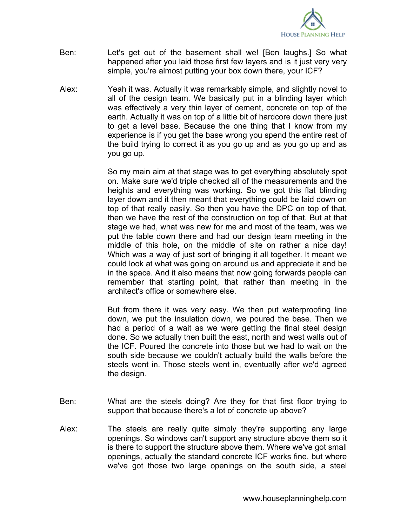

- Ben: Let's get out of the basement shall we! [Ben laughs.] So what happened after you laid those first few layers and is it just very very simple, you're almost putting your box down there, your ICF?
- Alex: Yeah it was. Actually it was remarkably simple, and slightly novel to all of the design team. We basically put in a blinding layer which was effectively a very thin layer of cement, concrete on top of the earth. Actually it was on top of a little bit of hardcore down there just to get a level base. Because the one thing that I know from my experience is if you get the base wrong you spend the entire rest of the build trying to correct it as you go up and as you go up and as you go up.

So my main aim at that stage was to get everything absolutely spot on. Make sure we'd triple checked all of the measurements and the heights and everything was working. So we got this flat blinding layer down and it then meant that everything could be laid down on top of that really easily. So then you have the DPC on top of that, then we have the rest of the construction on top of that. But at that stage we had, what was new for me and most of the team, was we put the table down there and had our design team meeting in the middle of this hole, on the middle of site on rather a nice day! Which was a way of just sort of bringing it all together. It meant we could look at what was going on around us and appreciate it and be in the space. And it also means that now going forwards people can remember that starting point, that rather than meeting in the architect's office or somewhere else.

But from there it was very easy. We then put waterproofing line down, we put the insulation down, we poured the base. Then we had a period of a wait as we were getting the final steel design done. So we actually then built the east, north and west walls out of the ICF. Poured the concrete into those but we had to wait on the south side because we couldn't actually build the walls before the steels went in. Those steels went in, eventually after we'd agreed the design.

- Ben: What are the steels doing? Are they for that first floor trying to support that because there's a lot of concrete up above?
- Alex: The steels are really quite simply they're supporting any large openings. So windows can't support any structure above them so it is there to support the structure above them. Where we've got small openings, actually the standard concrete ICF works fine, but where we've got those two large openings on the south side, a steel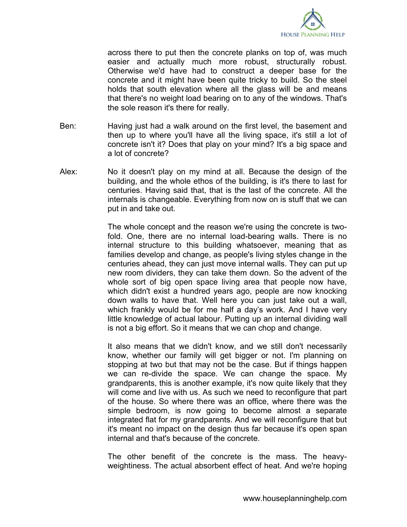

across there to put then the concrete planks on top of, was much easier and actually much more robust, structurally robust. Otherwise we'd have had to construct a deeper base for the concrete and it might have been quite tricky to build. So the steel holds that south elevation where all the glass will be and means that there's no weight load bearing on to any of the windows. That's the sole reason it's there for really.

- Ben: Having just had a walk around on the first level, the basement and then up to where you'll have all the living space, it's still a lot of concrete isn't it? Does that play on your mind? It's a big space and a lot of concrete?
- Alex: No it doesn't play on my mind at all. Because the design of the building, and the whole ethos of the building, is it's there to last for centuries. Having said that, that is the last of the concrete. All the internals is changeable. Everything from now on is stuff that we can put in and take out.

The whole concept and the reason we're using the concrete is twofold. One, there are no internal load-bearing walls. There is no internal structure to this building whatsoever, meaning that as families develop and change, as people's living styles change in the centuries ahead, they can just move internal walls. They can put up new room dividers, they can take them down. So the advent of the whole sort of big open space living area that people now have, which didn't exist a hundred years ago, people are now knocking down walls to have that. Well here you can just take out a wall, which frankly would be for me half a day's work. And I have very little knowledge of actual labour. Putting up an internal dividing wall is not a big effort. So it means that we can chop and change.

It also means that we didn't know, and we still don't necessarily know, whether our family will get bigger or not. I'm planning on stopping at two but that may not be the case. But if things happen we can re-divide the space. We can change the space. My grandparents, this is another example, it's now quite likely that they will come and live with us. As such we need to reconfigure that part of the house. So where there was an office, where there was the simple bedroom, is now going to become almost a separate integrated flat for my grandparents. And we will reconfigure that but it's meant no impact on the design thus far because it's open span internal and that's because of the concrete.

The other benefit of the concrete is the mass. The heavyweightiness. The actual absorbent effect of heat. And we're hoping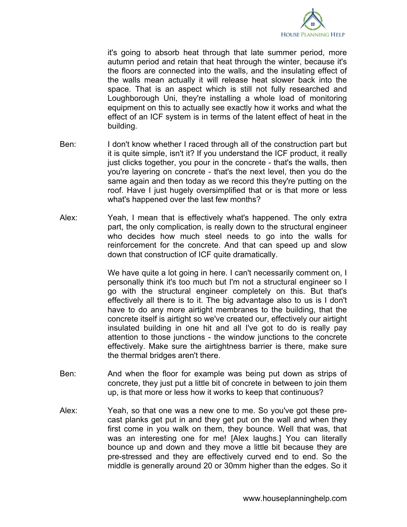

it's going to absorb heat through that late summer period, more autumn period and retain that heat through the winter, because it's the floors are connected into the walls, and the insulating effect of the walls mean actually it will release heat slower back into the space. That is an aspect which is still not fully researched and Loughborough Uni, they're installing a whole load of monitoring equipment on this to actually see exactly how it works and what the effect of an ICF system is in terms of the latent effect of heat in the building.

- Ben: I don't know whether I raced through all of the construction part but it is quite simple, isn't it? If you understand the ICF product, it really just clicks together, you pour in the concrete - that's the walls, then you're layering on concrete - that's the next level, then you do the same again and then today as we record this they're putting on the roof. Have I just hugely oversimplified that or is that more or less what's happened over the last few months?
- Alex: Yeah, I mean that is effectively what's happened. The only extra part, the only complication, is really down to the structural engineer who decides how much steel needs to go into the walls for reinforcement for the concrete. And that can speed up and slow down that construction of ICF quite dramatically.

We have quite a lot going in here. I can't necessarily comment on, I personally think it's too much but I'm not a structural engineer so I go with the structural engineer completely on this. But that's effectively all there is to it. The big advantage also to us is I don't have to do any more airtight membranes to the building, that the concrete itself is airtight so we've created our, effectively our airtight insulated building in one hit and all I've got to do is really pay attention to those junctions - the window junctions to the concrete effectively. Make sure the airtightness barrier is there, make sure the thermal bridges aren't there.

- Ben: And when the floor for example was being put down as strips of concrete, they just put a little bit of concrete in between to join them up, is that more or less how it works to keep that continuous?
- Alex: Yeah, so that one was a new one to me. So you've got these precast planks get put in and they get put on the wall and when they first come in you walk on them, they bounce. Well that was, that was an interesting one for me! [Alex laughs.] You can literally bounce up and down and they move a little bit because they are pre-stressed and they are effectively curved end to end. So the middle is generally around 20 or 30mm higher than the edges. So it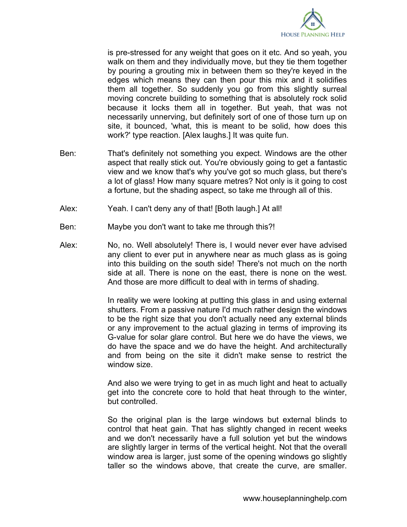

is pre-stressed for any weight that goes on it etc. And so yeah, you walk on them and they individually move, but they tie them together by pouring a grouting mix in between them so they're keyed in the edges which means they can then pour this mix and it solidifies them all together. So suddenly you go from this slightly surreal moving concrete building to something that is absolutely rock solid because it locks them all in together. But yeah, that was not necessarily unnerving, but definitely sort of one of those turn up on site, it bounced, 'what, this is meant to be solid, how does this work?' type reaction. [Alex laughs.] It was quite fun.

- Ben: That's definitely not something you expect. Windows are the other aspect that really stick out. You're obviously going to get a fantastic view and we know that's why you've got so much glass, but there's a lot of glass! How many square metres? Not only is it going to cost a fortune, but the shading aspect, so take me through all of this.
- Alex: Yeah. I can't deny any of that! [Both laugh.] At all!
- Ben: Maybe you don't want to take me through this?!
- Alex: No, no. Well absolutely! There is, I would never ever have advised any client to ever put in anywhere near as much glass as is going into this building on the south side! There's not much on the north side at all. There is none on the east, there is none on the west. And those are more difficult to deal with in terms of shading.

In reality we were looking at putting this glass in and using external shutters. From a passive nature I'd much rather design the windows to be the right size that you don't actually need any external blinds or any improvement to the actual glazing in terms of improving its G-value for solar glare control. But here we do have the views, we do have the space and we do have the height. And architecturally and from being on the site it didn't make sense to restrict the window size.

And also we were trying to get in as much light and heat to actually get into the concrete core to hold that heat through to the winter, but controlled.

So the original plan is the large windows but external blinds to control that heat gain. That has slightly changed in recent weeks and we don't necessarily have a full solution yet but the windows are slightly larger in terms of the vertical height. Not that the overall window area is larger, just some of the opening windows go slightly taller so the windows above, that create the curve, are smaller.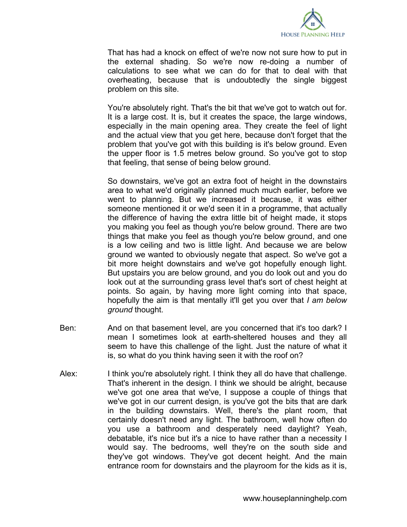

That has had a knock on effect of we're now not sure how to put in the external shading. So we're now re-doing a number of calculations to see what we can do for that to deal with that overheating, because that is undoubtedly the single biggest problem on this site.

You're absolutely right. That's the bit that we've got to watch out for. It is a large cost. It is, but it creates the space, the large windows, especially in the main opening area. They create the feel of light and the actual view that you get here, because don't forget that the problem that you've got with this building is it's below ground. Even the upper floor is 1.5 metres below ground. So you've got to stop that feeling, that sense of being below ground.

So downstairs, we've got an extra foot of height in the downstairs area to what we'd originally planned much much earlier, before we went to planning. But we increased it because, it was either someone mentioned it or we'd seen it in a programme, that actually the difference of having the extra little bit of height made, it stops you making you feel as though you're below ground. There are two things that make you feel as though you're below ground, and one is a low ceiling and two is little light. And because we are below ground we wanted to obviously negate that aspect. So we've got a bit more height downstairs and we've got hopefully enough light. But upstairs you are below ground, and you do look out and you do look out at the surrounding grass level that's sort of chest height at points. So again, by having more light coming into that space, hopefully the aim is that mentally it'll get you over that *I am below ground* thought.

- Ben: And on that basement level, are you concerned that it's too dark? I mean I sometimes look at earth-sheltered houses and they all seem to have this challenge of the light. Just the nature of what it is, so what do you think having seen it with the roof on?
- Alex: I think you're absolutely right. I think they all do have that challenge. That's inherent in the design. I think we should be alright, because we've got one area that we've, I suppose a couple of things that we've got in our current design, is you've got the bits that are dark in the building downstairs. Well, there's the plant room, that certainly doesn't need any light. The bathroom, well how often do you use a bathroom and desperately need daylight? Yeah, debatable, it's nice but it's a nice to have rather than a necessity I would say. The bedrooms, well they're on the south side and they've got windows. They've got decent height. And the main entrance room for downstairs and the playroom for the kids as it is,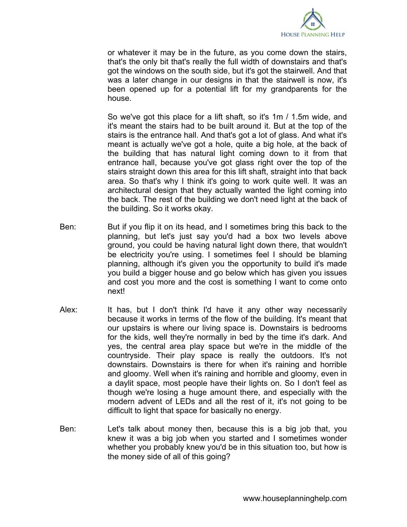

or whatever it may be in the future, as you come down the stairs, that's the only bit that's really the full width of downstairs and that's got the windows on the south side, but it's got the stairwell. And that was a later change in our designs in that the stairwell is now, it's been opened up for a potential lift for my grandparents for the house.

So we've got this place for a lift shaft, so it's 1m / 1.5m wide, and it's meant the stairs had to be built around it. But at the top of the stairs is the entrance hall. And that's got a lot of glass. And what it's meant is actually we've got a hole, quite a big hole, at the back of the building that has natural light coming down to it from that entrance hall, because you've got glass right over the top of the stairs straight down this area for this lift shaft, straight into that back area. So that's why I think it's going to work quite well. It was an architectural design that they actually wanted the light coming into the back. The rest of the building we don't need light at the back of the building. So it works okay.

- Ben: But if you flip it on its head, and I sometimes bring this back to the planning, but let's just say you'd had a box two levels above ground, you could be having natural light down there, that wouldn't be electricity you're using. I sometimes feel I should be blaming planning, although it's given you the opportunity to build it's made you build a bigger house and go below which has given you issues and cost you more and the cost is something I want to come onto next!
- Alex: It has, but I don't think I'd have it any other way necessarily because it works in terms of the flow of the building. It's meant that our upstairs is where our living space is. Downstairs is bedrooms for the kids, well they're normally in bed by the time it's dark. And yes, the central area play space but we're in the middle of the countryside. Their play space is really the outdoors. It's not downstairs. Downstairs is there for when it's raining and horrible and gloomy. Well when it's raining and horrible and gloomy, even in a daylit space, most people have their lights on. So I don't feel as though we're losing a huge amount there, and especially with the modern advent of LEDs and all the rest of it, it's not going to be difficult to light that space for basically no energy.
- Ben: Let's talk about money then, because this is a big job that, you knew it was a big job when you started and I sometimes wonder whether you probably knew you'd be in this situation too, but how is the money side of all of this going?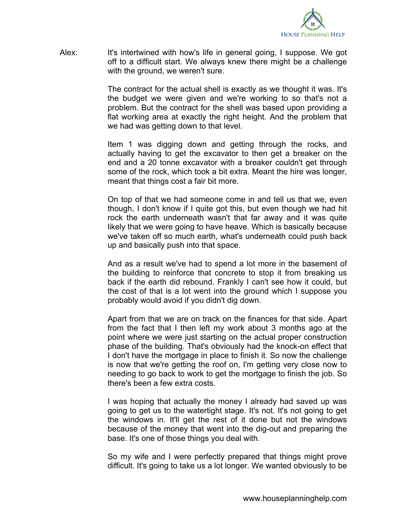

Alex: It's intertwined with how's life in general going, I suppose. We got off to a difficult start. We always knew there might be a challenge with the ground, we weren't sure.

> The contract for the actual shell is exactly as we thought it was. It's the budget we were given and we're working to so that's not a problem. But the contract for the shell was based upon providing a flat working area at exactly the right height. And the problem that we had was getting down to that level.

> Item 1 was digging down and getting through the rocks, and actually having to get the excavator to then get a breaker on the end and a 20 tonne excavator with a breaker couldn't get through some of the rock, which took a bit extra. Meant the hire was longer, meant that things cost a fair bit more.

> On top of that we had someone come in and tell us that we, even though, I don't know if I quite got this, but even though we had hit rock the earth underneath wasn't that far away and it was quite likely that we were going to have heave. Which is basically because we've taken off so much earth, what's underneath could push back up and basically push into that space.

> And as a result we've had to spend a lot more in the basement of the building to reinforce that concrete to stop it from breaking us back if the earth did rebound. Frankly I can't see how it could, but the cost of that is a lot went into the ground which I suppose you probably would avoid if you didn't dig down.

> Apart from that we are on track on the finances for that side. Apart from the fact that I then left my work about 3 months ago at the point where we were just starting on the actual proper construction phase of the building. That's obviously had the knock-on effect that I don't have the mortgage in place to finish it. So now the challenge is now that we're getting the roof on, I'm getting very close now to needing to go back to work to get the mortgage to finish the job. So there's been a few extra costs.

> I was hoping that actually the money I already had saved up was going to get us to the watertight stage. It's not. It's not going to get the windows in. It'll get the rest of it done but not the windows because of the money that went into the dig-out and preparing the base. It's one of those things you deal with.

> So my wife and I were perfectly prepared that things might prove difficult. It's going to take us a lot longer. We wanted obviously to be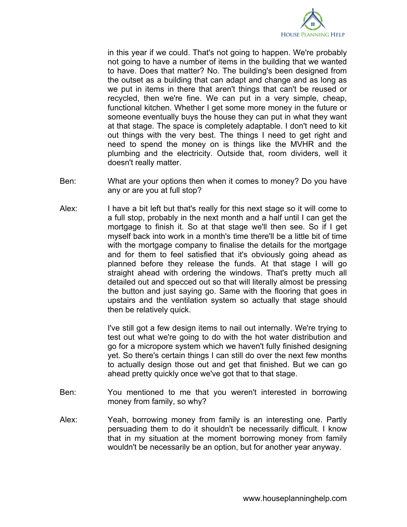

in this year if we could. That's not going to happen. We're probably not going to have a number of items in the building that we wanted to have. Does that matter? No. The building's been designed from the outset as a building that can adapt and change and as long as we put in items in there that aren't things that can't be reused or recycled, then we're fine. We can put in a very simple, cheap, functional kitchen. Whether I get some more money in the future or someone eventually buys the house they can put in what they want at that stage. The space is completely adaptable. I don't need to kit out things with the very best. The things I need to get right and need to spend the money on is things like the MVHR and the plumbing and the electricity. Outside that, room dividers, well it doesn't really matter.

- Ben: What are your options then when it comes to money? Do you have any or are you at full stop?
- Alex: I have a bit left but that's really for this next stage so it will come to a full stop, probably in the next month and a half until I can get the mortgage to finish it. So at that stage we'll then see. So if I get myself back into work in a month's time there'll be a little bit of time with the mortgage company to finalise the details for the mortgage and for them to feel satisfied that it's obviously going ahead as planned before they release the funds. At that stage I will go straight ahead with ordering the windows. That's pretty much all detailed out and specced out so that will literally almost be pressing the button and just saying go. Same with the flooring that goes in upstairs and the ventilation system so actually that stage should then be relatively quick.

I've still got a few design items to nail out internally. We're trying to test out what we're going to do with the hot water distribution and go for a micropore system which we haven't fully finished designing yet. So there's certain things I can still do over the next few months to actually design those out and get that finished. But we can go ahead pretty quickly once we've got that to that stage.

- Ben: You mentioned to me that you weren't interested in borrowing money from family, so why?
- Alex: Yeah, borrowing money from family is an interesting one. Partly persuading them to do it shouldn't be necessarily difficult. I know that in my situation at the moment borrowing money from family wouldn't be necessarily be an option, but for another year anyway.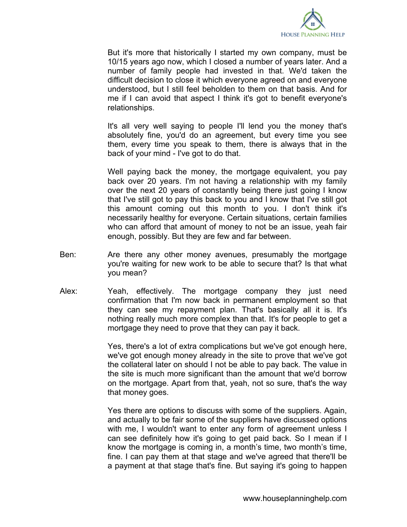

But it's more that historically I started my own company, must be 10/15 years ago now, which I closed a number of years later. And a number of family people had invested in that. We'd taken the difficult decision to close it which everyone agreed on and everyone understood, but I still feel beholden to them on that basis. And for me if I can avoid that aspect I think it's got to benefit everyone's relationships.

It's all very well saying to people I'll lend you the money that's absolutely fine, you'd do an agreement, but every time you see them, every time you speak to them, there is always that in the back of your mind - I've got to do that.

Well paying back the money, the mortgage equivalent, you pay back over 20 years. I'm not having a relationship with my family over the next 20 years of constantly being there just going I know that I've still got to pay this back to you and I know that I've still got this amount coming out this month to you. I don't think it's necessarily healthy for everyone. Certain situations, certain families who can afford that amount of money to not be an issue, yeah fair enough, possibly. But they are few and far between.

- Ben: Are there any other money avenues, presumably the mortgage you're waiting for new work to be able to secure that? Is that what you mean?
- Alex: Yeah, effectively. The mortgage company they just need confirmation that I'm now back in permanent employment so that they can see my repayment plan. That's basically all it is. It's nothing really much more complex than that. It's for people to get a mortgage they need to prove that they can pay it back.

Yes, there's a lot of extra complications but we've got enough here, we've got enough money already in the site to prove that we've got the collateral later on should I not be able to pay back. The value in the site is much more significant than the amount that we'd borrow on the mortgage. Apart from that, yeah, not so sure, that's the way that money goes.

Yes there are options to discuss with some of the suppliers. Again, and actually to be fair some of the suppliers have discussed options with me, I wouldn't want to enter any form of agreement unless I can see definitely how it's going to get paid back. So I mean if I know the mortgage is coming in, a month's time, two month's time, fine. I can pay them at that stage and we've agreed that there'll be a payment at that stage that's fine. But saying it's going to happen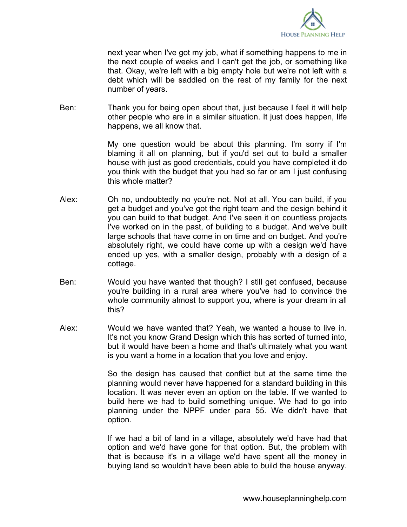

next year when I've got my job, what if something happens to me in the next couple of weeks and I can't get the job, or something like that. Okay, we're left with a big empty hole but we're not left with a debt which will be saddled on the rest of my family for the next number of years.

Ben: Thank you for being open about that, just because I feel it will help other people who are in a similar situation. It just does happen, life happens, we all know that.

> My one question would be about this planning. I'm sorry if I'm blaming it all on planning, but if you'd set out to build a smaller house with just as good credentials, could you have completed it do you think with the budget that you had so far or am I just confusing this whole matter?

- Alex: Oh no, undoubtedly no you're not. Not at all. You can build, if you get a budget and you've got the right team and the design behind it you can build to that budget. And I've seen it on countless projects I've worked on in the past, of building to a budget. And we've built large schools that have come in on time and on budget. And you're absolutely right, we could have come up with a design we'd have ended up yes, with a smaller design, probably with a design of a cottage.
- Ben: Would you have wanted that though? I still get confused, because you're building in a rural area where you've had to convince the whole community almost to support you, where is your dream in all this?
- Alex: Would we have wanted that? Yeah, we wanted a house to live in. It's not you know Grand Design which this has sorted of turned into, but it would have been a home and that's ultimately what you want is you want a home in a location that you love and enjoy.

So the design has caused that conflict but at the same time the planning would never have happened for a standard building in this location. It was never even an option on the table. If we wanted to build here we had to build something unique. We had to go into planning under the NPPF under para 55. We didn't have that option.

If we had a bit of land in a village, absolutely we'd have had that option and we'd have gone for that option. But, the problem with that is because it's in a village we'd have spent all the money in buying land so wouldn't have been able to build the house anyway.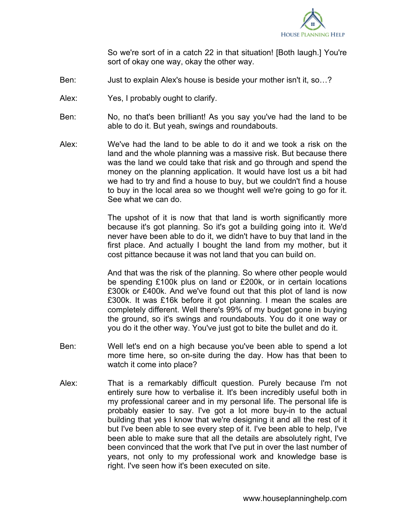

So we're sort of in a catch 22 in that situation! [Both laugh.] You're sort of okay one way, okay the other way.

- Ben: Just to explain Alex's house is beside your mother isn't it, so…?
- Alex: Yes, I probably ought to clarify.
- Ben: No, no that's been brilliant! As you say you've had the land to be able to do it. But yeah, swings and roundabouts.
- Alex: We've had the land to be able to do it and we took a risk on the land and the whole planning was a massive risk. But because there was the land we could take that risk and go through and spend the money on the planning application. It would have lost us a bit had we had to try and find a house to buy, but we couldn't find a house to buy in the local area so we thought well we're going to go for it. See what we can do.

The upshot of it is now that that land is worth significantly more because it's got planning. So it's got a building going into it. We'd never have been able to do it, we didn't have to buy that land in the first place. And actually I bought the land from my mother, but it cost pittance because it was not land that you can build on.

And that was the risk of the planning. So where other people would be spending £100k plus on land or £200k, or in certain locations £300k or £400k. And we've found out that this plot of land is now £300k. It was £16k before it got planning. I mean the scales are completely different. Well there's 99% of my budget gone in buying the ground, so it's swings and roundabouts. You do it one way or you do it the other way. You've just got to bite the bullet and do it.

- Ben: Well let's end on a high because you've been able to spend a lot more time here, so on-site during the day. How has that been to watch it come into place?
- Alex: That is a remarkably difficult question. Purely because I'm not entirely sure how to verbalise it. It's been incredibly useful both in my professional career and in my personal life. The personal life is probably easier to say. I've got a lot more buy-in to the actual building that yes I know that we're designing it and all the rest of it but I've been able to see every step of it. I've been able to help, I've been able to make sure that all the details are absolutely right, I've been convinced that the work that I've put in over the last number of years, not only to my professional work and knowledge base is right. I've seen how it's been executed on site.